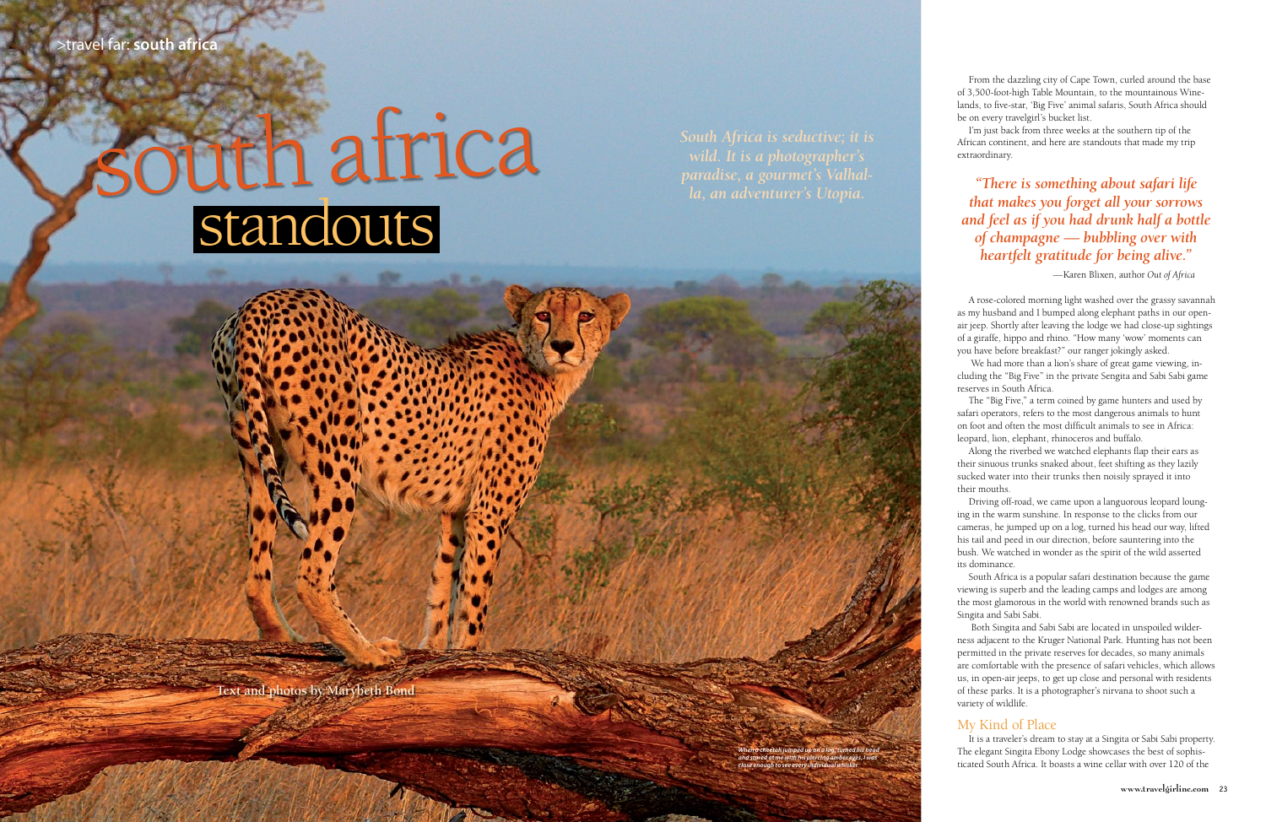**Text and photos by Marybeth Bond**

*When a cheetah jumped up on a log, turned his head and stared at me with his piercing amber eyes, I was close enough to see every individual whisker.* 

*South Africa is seductive; it is wild. It is a photographer's la, an adventurer's Utopia.*

From the dazzling city of Cape Town, curled around the base of 3,500-foot-high Table Mountain, to the mountainous Winelands, to five-star, 'Big Five' animal safaris, South Africa should be on every travelgirl's bucket list.

I'm just back from three weeks at the southern tip of the African continent, and here are standouts that made my trip extraordinary.

# *"There is something about safari life that makes you forget all your sorrows and feel as if you had drunk half a bottle of champagne — bubbling over with heartfelt gratitude for being alive."*

—Karen Blixen, author *Out of Africa*

A rose-colored morning light washed over the grassy savannah as my husband and I bumped along elephant paths in our openair jeep. Shortly after leaving the lodge we had close-up sightings of a giraffe, hippo and rhino. "How many 'wow' moments can you have before breakfast?" our ranger jokingly asked.

 We had more than a lion's share of great game viewing, including the "Big Five" in the private Sengita and Sabi Sabi game reserves in South Africa.

The "Big Five," a term coined by game hunters and used by safari operators, refers to the most dangerous animals to hunt on foot and often the most difficult animals to see in Africa: leopard, lion, elephant, rhinoceros and buffalo.

Along the riverbed we watched elephants flap their ears as their sinuous trunks snaked about, feet shifting as they lazily sucked water into their trunks then noisily sprayed it into their mouths.

Driving off-road, we came upon a languorous leopard lounging in the warm sunshine. In response to the clicks from our cameras, he jumped up on a log, turned his head our way, lifted his tail and peed in our direction, before sauntering into the bush. We watched in wonder as the spirit of the wild asserted its dominance.

South Africa is a popular safari destination because the game viewing is superb and the leading camps and lodges are among the most glamorous in the world with renowned brands such as Singita and Sabi Sabi.

 Both Singita and Sabi Sabi are located in unspoiled wilderness adjacent to the Kruger National Park. Hunting has not been permitted in the private reserves for decades, so many animals are comfortable with the presence of safari vehicles, which allows us, in open-air jeeps, to get up close and personal with residents of these parks. It is a photographer's nirvana to shoot such a variety of wildlife.

# My Kind of Place

It is a traveler's dream to stay at a Singita or Sabi Sabi property. The elegant Singita Ebony Lodge showcases the best of sophisticated South Africa. It boasts a wine cellar with over 120 of the

# south africa standouts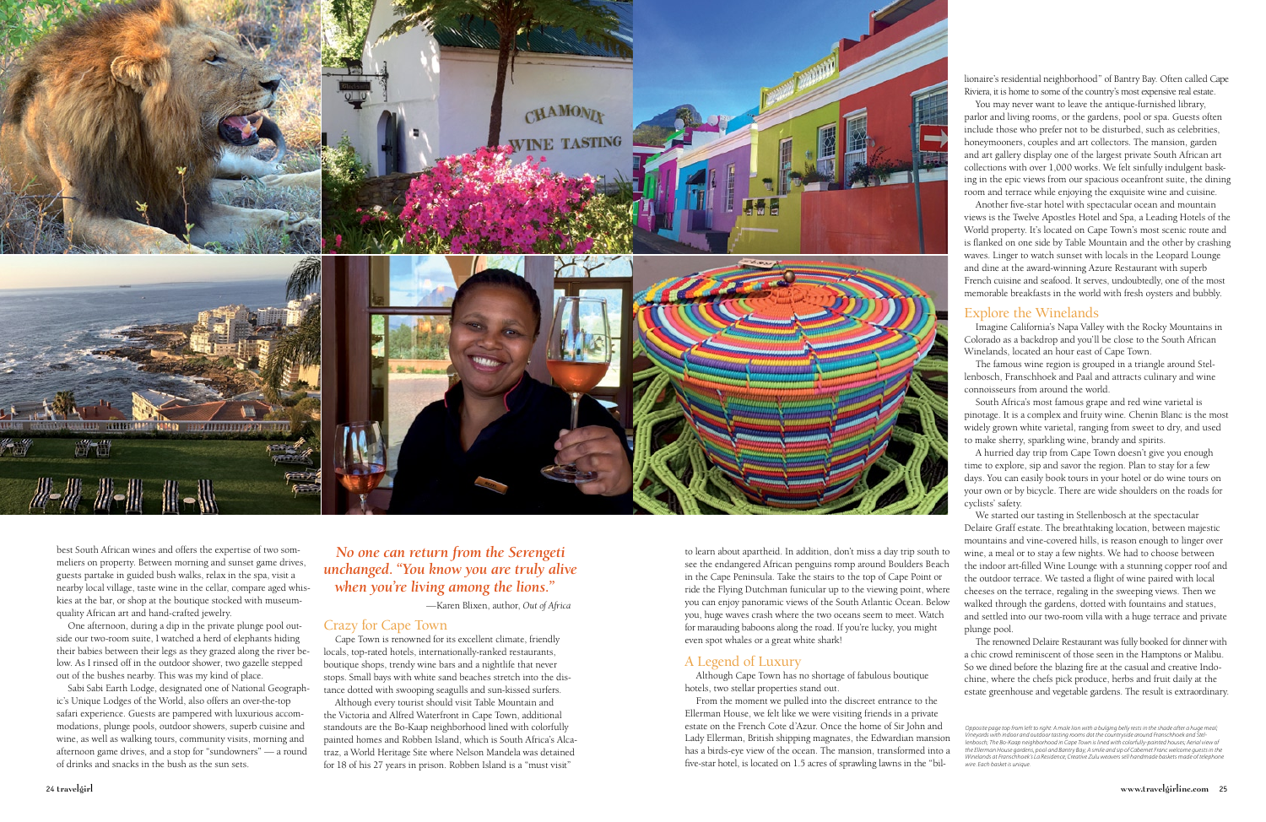

best South African wines and offers the expertise of two sommeliers on property. Between morning and sunset game drives, guests partake in guided bush walks, relax in the spa, visit a nearby local village, taste wine in the cellar, compare aged whiskies at the bar, or shop at the boutique stocked with museumquality African art and hand-crafted jewelry.

One afternoon, during a dip in the private plunge pool outside our two-room suite, I watched a herd of elephants hiding their babies between their legs as they grazed along the river below. As I rinsed off in the outdoor shower, two gazelle stepped out of the bushes nearby. This was my kind of place.

Sabi Sabi Earth Lodge, designated one of National Geographic's Unique Lodges of the World, also offers an over-the-top safari experience. Guests are pampered with luxurious accommodations, plunge pools, outdoor showers, superb cuisine and wine, as well as walking tours, community visits, morning and afternoon game drives, and a stop for "sundowners" — a round of drinks and snacks in the bush as the sun sets.

# *No one can return from the Serengeti unchanged. "You know you are truly alive when you're living among the lions."*

*Opposite page top from left to right: A male lion with a bulging belly rests in the shade after a huge meal; Vineyards with indoor and outdoor tasting rooms dot the countryside around Franschhoek and Stel-lenbosch; The Bo-Kaap neighborhood in Cape Town is lined with colorfully-painted houses; Aerial view of the Ellerman House gardens, pool and Bantry Bay; A smile and sip of Cabernet Franc welcome guests in the Winelands at Franschhoek's La Residence; Creative Zulu weavers sell handmade baskets made of telephone wire. Each basket is unique.*  From the moment we pulled into the discreet entrance to the Ellerman House, we felt like we were visiting friends in a private estate on the French Cote d'Azur. Once the home of Sir John and Lady Ellerman, British shipping magnates, the Edwardian mansion has a birds-eye view of the ocean. The mansion, transformed into a five-star hotel, is located on 1.5 acres of sprawling lawns in the "bil-

—Karen Blixen, author, *Out of Africa*

# Crazy for Cape Town

Cape Town is renowned for its excellent climate, friendly locals, top-rated hotels, internationally-ranked restaurants, boutique shops, trendy wine bars and a nightlife that never stops. Small bays with white sand beaches stretch into the distance dotted with swooping seagulls and sun-kissed surfers.

Although every tourist should visit Table Mountain and the Victoria and Alfred Waterfront in Cape Town, additional standouts are the Bo-Kaap neighborhood lined with colorfully painted homes and Robben Island, which is South Africa's Alcatraz, a World Heritage Site where Nelson Mandela was detained for 18 of his 27 years in prison. Robben Island is a "must visit"

to learn about apartheid. In addition, don't miss a day trip south to see the endangered African penguins romp around Boulders Beach in the Cape Peninsula. Take the stairs to the top of Cape Point or ride the Flying Dutchman funicular up to the viewing point, where you can enjoy panoramic views of the South Atlantic Ocean. Below you, huge waves crash where the two oceans seem to meet. Watch for marauding baboons along the road. If you're lucky, you might even spot whales or a great white shark!

# A Legend of Luxury

Although Cape Town has no shortage of fabulous boutique hotels, two stellar properties stand out.

lionaire's residential neighborhood" of Bantry Bay. Often called Cape Riviera, it is home to some of the country's most expensive real estate.

You may never want to leave the antique-furnished library, parlor and living rooms, or the gardens, pool or spa. Guests often include those who prefer not to be disturbed, such as celebrities, honeymooners, couples and art collectors. The mansion, garden and art gallery display one of the largest private South African art collections with over 1,000 works. We felt sinfully indulgent basking in the epic views from our spacious oceanfront suite, the dining room and terrace while enjoying the exquisite wine and cuisine.

Another five-star hotel with spectacular ocean and mountain views is the Twelve Apostles Hotel and Spa, a Leading Hotels of the World property. It's located on Cape Town's most scenic route and is flanked on one side by Table Mountain and the other by crashing waves. Linger to watch sunset with locals in the Leopard Lounge and dine at the award-winning Azure Restaurant with superb French cuisine and seafood. It serves, undoubtedly, one of the most memorable breakfasts in the world with fresh oysters and bubbly.

# Explore the Winelands

Imagine California's Napa Valley with the Rocky Mountains in Colorado as a backdrop and you'll be close to the South African Winelands, located an hour east of Cape Town.

The famous wine region is grouped in a triangle around Stellenbosch, Franschhoek and Paal and attracts culinary and wine connoisseurs from around the world.

South Africa's most famous grape and red wine varietal is pinotage. It is a complex and fruity wine. Chenin Blanc is the most widely grown white varietal, ranging from sweet to dry, and used to make sherry, sparkling wine, brandy and spirits.

A hurried day trip from Cape Town doesn't give you enough time to explore, sip and savor the region. Plan to stay for a few days. You can easily book tours in your hotel or do wine tours on your own or by bicycle. There are wide shoulders on the roads for cyclists' safety.

We started our tasting in Stellenbosch at the spectacular Delaire Graff estate. The breathtaking location, between majestic mountains and vine-covered hills, is reason enough to linger over wine, a meal or to stay a few nights. We had to choose between the indoor art-filled Wine Lounge with a stunning copper roof and the outdoor terrace. We tasted a flight of wine paired with local cheeses on the terrace, regaling in the sweeping views. Then we walked through the gardens, dotted with fountains and statues, and settled into our two-room villa with a huge terrace and private plunge pool.

The renowned Delaire Restaurant was fully booked for dinner with a chic crowd reminiscent of those seen in the Hamptons or Malibu. So we dined before the blazing fire at the casual and creative Indochine, where the chefs pick produce, herbs and fruit daily at the estate greenhouse and vegetable gardens. The result is extraordinary.